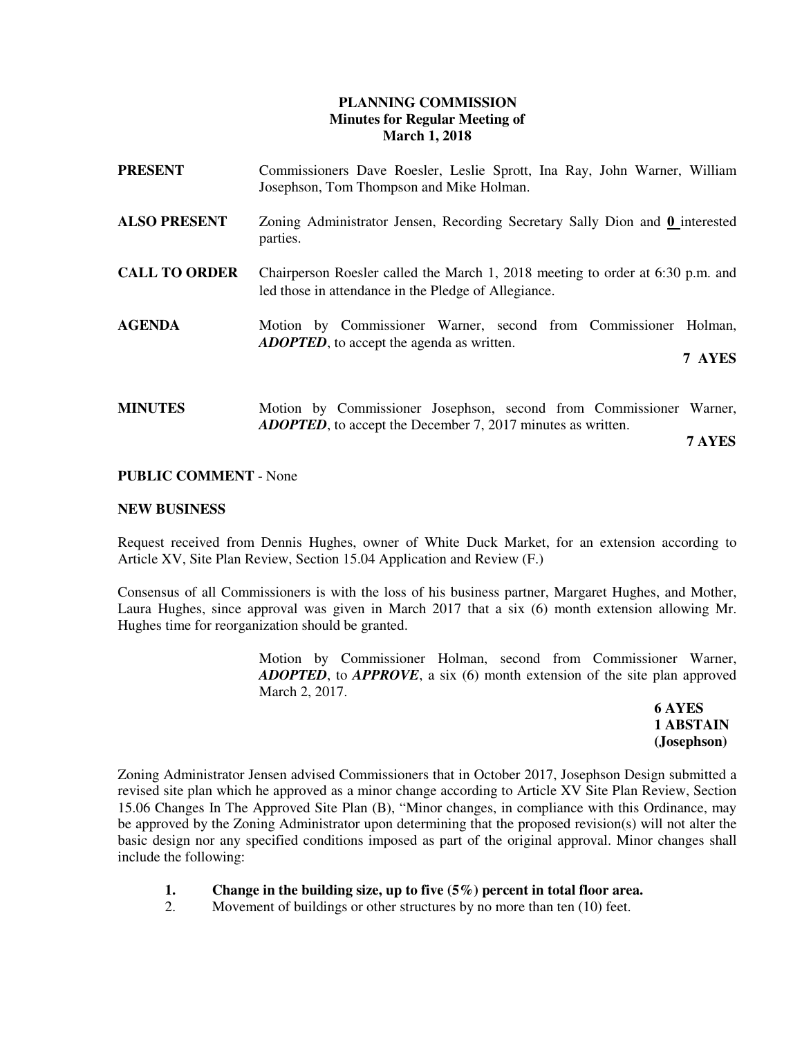## **PLANNING COMMISSION Minutes for Regular Meeting of March 1, 2018**

| PRESENT              | Commissioners Dave Roesler, Leslie Sprott, Ina Ray, John Warner, William<br>Josephson, Tom Thompson and Mike Holman.                   |
|----------------------|----------------------------------------------------------------------------------------------------------------------------------------|
| <b>ALSO PRESENT</b>  | Zoning Administrator Jensen, Recording Secretary Sally Dion and 0 interested<br>parties.                                               |
| <b>CALL TO ORDER</b> | Chairperson Roesler called the March 1, 2018 meeting to order at 6:30 p.m. and<br>led those in attendance in the Pledge of Allegiance. |
| <b>AGENDA</b>        | Motion by Commissioner Warner, second from Commissioner<br>Holman.<br><b>ADOPTED</b> , to accept the agenda as written.                |
|                      | 7 AYES                                                                                                                                 |
| <b>MINUTES</b>       | Motion by Commissioner Josephson, second from Commissioner Warner,                                                                     |

**7 AYES**

### **PUBLIC COMMENT** - None

### **NEW BUSINESS**

Request received from Dennis Hughes, owner of White Duck Market, for an extension according to Article XV, Site Plan Review, Section 15.04 Application and Review (F.)

*ADOPTED*, to accept the December 7, 2017 minutes as written.

Consensus of all Commissioners is with the loss of his business partner, Margaret Hughes, and Mother, Laura Hughes, since approval was given in March 2017 that a six (6) month extension allowing Mr. Hughes time for reorganization should be granted.

> Motion by Commissioner Holman, second from Commissioner Warner, *ADOPTED*, to *APPROVE*, a six (6) month extension of the site plan approved March 2, 2017.

 **6 AYES 1 ABSTAIN (Josephson)** 

Zoning Administrator Jensen advised Commissioners that in October 2017, Josephson Design submitted a revised site plan which he approved as a minor change according to Article XV Site Plan Review, Section 15.06 Changes In The Approved Site Plan (B), "Minor changes, in compliance with this Ordinance, may be approved by the Zoning Administrator upon determining that the proposed revision(s) will not alter the basic design nor any specified conditions imposed as part of the original approval. Minor changes shall include the following:

- **1. Change in the building size, up to five (5%) percent in total floor area.**
- 2. Movement of buildings or other structures by no more than ten (10) feet.